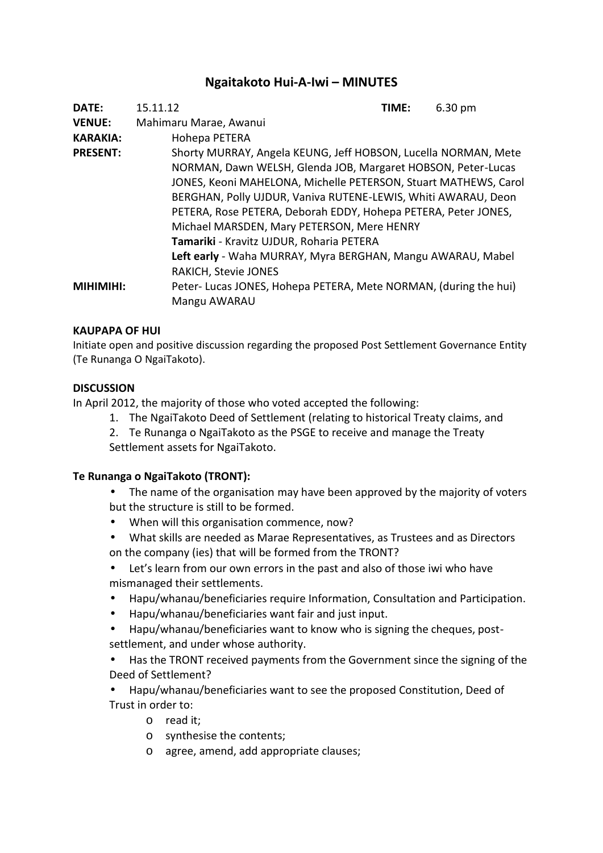# **Ngaitakoto Hui-A-Iwi – MINUTES**

| <b>DATE:</b>     | 6.30 pm<br>15.11.12<br>TIME:                                    |
|------------------|-----------------------------------------------------------------|
| <b>VENUE:</b>    | Mahimaru Marae, Awanui                                          |
| <b>KARAKIA:</b>  | Hohepa PETERA                                                   |
| <b>PRESENT:</b>  | Shorty MURRAY, Angela KEUNG, Jeff HOBSON, Lucella NORMAN, Mete  |
|                  | NORMAN, Dawn WELSH, Glenda JOB, Margaret HOBSON, Peter-Lucas    |
|                  | JONES, Keoni MAHELONA, Michelle PETERSON, Stuart MATHEWS, Carol |
|                  | BERGHAN, Polly UJDUR, Vaniva RUTENE-LEWIS, Whiti AWARAU, Deon   |
|                  | PETERA, Rose PETERA, Deborah EDDY, Hohepa PETERA, Peter JONES,  |
|                  | Michael MARSDEN, Mary PETERSON, Mere HENRY                      |
|                  | Tamariki - Kravitz UJDUR, Roharia PETERA                        |
|                  | Left early - Waha MURRAY, Myra BERGHAN, Mangu AWARAU, Mabel     |
|                  | <b>RAKICH, Stevie JONES</b>                                     |
| <b>MIHIMIHI:</b> | Peter-Lucas JONES, Hohepa PETERA, Mete NORMAN, (during the hui) |
|                  | Mangu AWARAU                                                    |

## **KAUPAPA OF HUI**

Initiate open and positive discussion regarding the proposed Post Settlement Governance Entity (Te Runanga O NgaiTakoto).

## **DISCUSSION**

In April 2012, the majority of those who voted accepted the following:

- 1. The NgaiTakoto Deed of Settlement (relating to historical Treaty claims, and
- 2. Te Runanga o NgaiTakoto as the PSGE to receive and manage the Treaty Settlement assets for NgaiTakoto.

# **Te Runanga o NgaiTakoto (TRONT):**

- The name of the organisation may have been approved by the majority of voters but the structure is still to be formed.
- When will this organisation commence, now?
- What skills are needed as Marae Representatives, as Trustees and as Directors on the company (ies) that will be formed from the TRONT?
- Let's learn from our own errors in the past and also of those iwi who have mismanaged their settlements.
- Hapu/whanau/beneficiaries require Information, Consultation and Participation.
- Hapu/whanau/beneficiaries want fair and just input.
- Hapu/whanau/beneficiaries want to know who is signing the cheques, post settlement, and under whose authority.
- Has the TRONT received payments from the Government since the signing of the Deed of Settlement?
- Hapu/whanau/beneficiaries want to see the proposed Constitution, Deed of Trust in order to:
	- o read it;
	- o synthesise the contents;
	- o agree, amend, add appropriate clauses;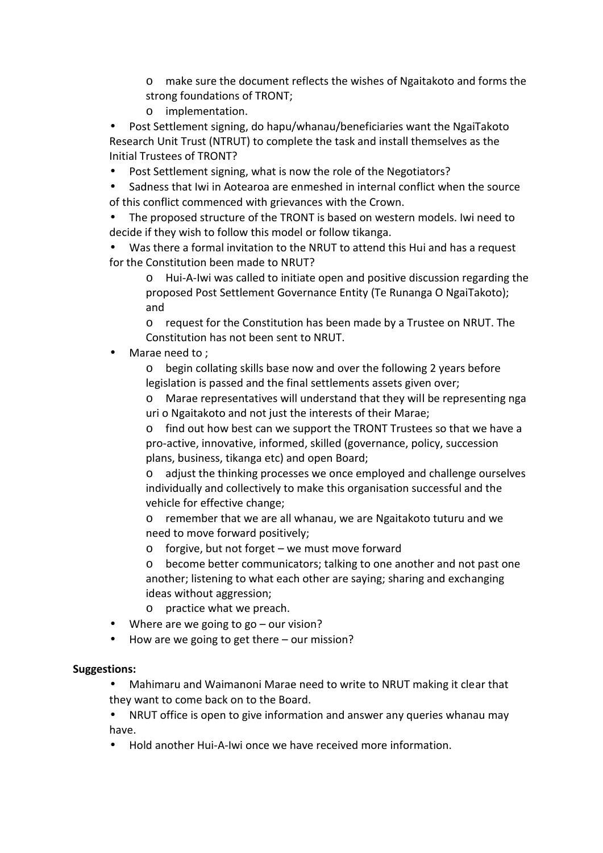o make sure the document reflects the wishes of Ngaitakoto and forms the strong foundations of TRONT;

o implementation.

 Post Settlement signing, do hapu/whanau/beneficiaries want the NgaiTakoto Research Unit Trust (NTRUT) to complete the task and install themselves as the Initial Trustees of TRONT?

- Post Settlement signing, what is now the role of the Negotiators?
- Sadness that Iwi in Aotearoa are enmeshed in internal conflict when the source of this conflict commenced with grievances with the Crown.
- The proposed structure of the TRONT is based on western models. Iwi need to decide if they wish to follow this model or follow tikanga.
- Was there a formal invitation to the NRUT to attend this Hui and has a request for the Constitution been made to NRUT?
	- o Hui-A-Iwi was called to initiate open and positive discussion regarding the proposed Post Settlement Governance Entity (Te Runanga O NgaiTakoto); and

o request for the Constitution has been made by a Trustee on NRUT. The Constitution has not been sent to NRUT.

Marae need to ;

o begin collating skills base now and over the following 2 years before legislation is passed and the final settlements assets given over;

o Marae representatives will understand that they will be representing nga uri o Ngaitakoto and not just the interests of their Marae;

o find out how best can we support the TRONT Trustees so that we have a pro-active, innovative, informed, skilled (governance, policy, succession plans, business, tikanga etc) and open Board;

o adjust the thinking processes we once employed and challenge ourselves individually and collectively to make this organisation successful and the vehicle for effective change;

o remember that we are all whanau, we are Ngaitakoto tuturu and we need to move forward positively;

o forgive, but not forget – we must move forward

o become better communicators; talking to one another and not past one another; listening to what each other are saying; sharing and exchanging ideas without aggression;

- o practice what we preach.
- Where are we going to go our vision?
- How are we going to get there our mission?

#### **Suggestions:**

 Mahimaru and Waimanoni Marae need to write to NRUT making it clear that they want to come back on to the Board.

- NRUT office is open to give information and answer any queries whanau may have.
- Hold another Hui-A-Iwi once we have received more information.